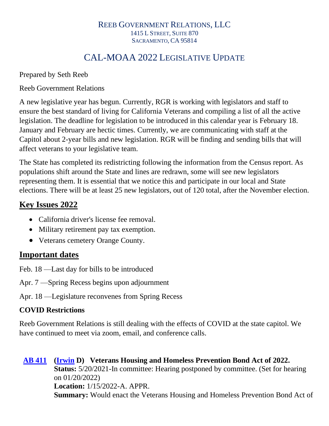#### REEB GOVERNMENT RELATIONS, LLC 1415 L STREET, SUITE 870 SACRAMENTO, CA 95814

## CAL-MOAA 2022 LEGISLATIVE UPDATE

Prepared by Seth Reeb

Reeb Government Relations

A new legislative year has begun. Currently, RGR is working with legislators and staff to ensure the best standard of living for California Veterans and compiling a list of all the active legislation. The deadline for legislation to be introduced in this calendar year is February 18. January and February are hectic times. Currently, we are communicating with staff at the Capitol about 2-year bills and new legislation. RGR will be finding and sending bills that will affect veterans to your legislative team.

The State has completed its redistricting following the information from the Census report. As populations shift around the State and lines are redrawn, some will see new legislators representing them. It is essential that we notice this and participate in our local and State elections. There will be at least 25 new legislators, out of 120 total, after the November election.

## **Key Issues 2022**

- California driver's license fee removal.
- Military retirement pay tax exemption.
- Veterans cemetery Orange County.

## **Important dates**

- Feb. 18 —Last day for bills to be introduced
- Apr. 7 —Spring Recess begins upon adjournment
- Apr. 18 —Legislature reconvenes from Spring Recess

## **COVID Restrictions**

Reeb Government Relations is still dealing with the effects of COVID at the state capitol. We have continued to meet via zoom, email, and conference calls.

**[AB 411](https://ctweb.capitoltrack.com/public/publishbillinfo.aspx?bi=Cu5uSGssOqt%2ba7H2dwE1dnzHwVHeHkYVWuVwECfITo4ScGkbO31vsg7ySXtQPUow) [\(Irwin](https://a44.asmdc.org/) D) Veterans Housing and Homeless Prevention Bond Act of 2022. Status:** 5/20/2021-In committee: Hearing postponed by committee. (Set for hearing on 01/20/2022) **Location:** 1/15/2022-A. APPR. **Summary:** Would enact the Veterans Housing and Homeless Prevention Bond Act of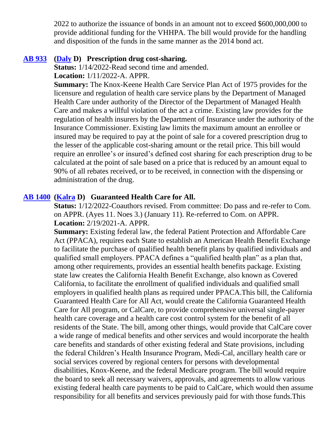2022 to authorize the issuance of bonds in an amount not to exceed \$600,000,000 to provide additional funding for the VHHPA. The bill would provide for the handling and disposition of the funds in the same manner as the 2014 bond act.

### **[AB 933](https://ctweb.capitoltrack.com/public/publishbillinfo.aspx?bi=V4QY%2b%2fl%2blaCQqYXc2wavlhgxw3LZnHzJ%2fnunoOV7bV3IJIDA%2b2ooNb1vYy2P89zi) [\(Daly](https://a69.asmdc.org/) D) Prescription drug cost-sharing.**

**Status:** 1/14/2022-Read second time and amended.

**Location:** 1/11/2022-A. APPR.

**Summary:** The Knox-Keene Health Care Service Plan Act of 1975 provides for the licensure and regulation of health care service plans by the Department of Managed Health Care under authority of the Director of the Department of Managed Health Care and makes a willful violation of the act a crime. Existing law provides for the regulation of health insurers by the Department of Insurance under the authority of the Insurance Commissioner. Existing law limits the maximum amount an enrollee or insured may be required to pay at the point of sale for a covered prescription drug to the lesser of the applicable cost-sharing amount or the retail price. This bill would require an enrollee's or insured's defined cost sharing for each prescription drug to be calculated at the point of sale based on a price that is reduced by an amount equal to 90% of all rebates received, or to be received, in connection with the dispensing or administration of the drug.

### **[AB 1400](https://ctweb.capitoltrack.com/public/publishbillinfo.aspx?bi=SuJUp%2fm0plvYr8mmT3JKMkBiyih8GKCdRRtcnX411wEefC2GzIgicI3v%2fQ9XySmd) [\(Kalra](https://a27.asmdc.org/) D) Guaranteed Health Care for All.**

**Status:** 1/12/2022-Coauthors revised. From committee: Do pass and re-refer to Com. on APPR. (Ayes 11. Noes 3.) (January 11). Re-referred to Com. on APPR. **Location:** 2/19/2021-A. APPR.

**Summary:** Existing federal law, the federal Patient Protection and Affordable Care Act (PPACA), requires each State to establish an American Health Benefit Exchange to facilitate the purchase of qualified health benefit plans by qualified individuals and qualified small employers. PPACA defines a "qualified health plan" as a plan that, among other requirements, provides an essential health benefits package. Existing state law creates the California Health Benefit Exchange, also known as Covered California, to facilitate the enrollment of qualified individuals and qualified small employers in qualified health plans as required under PPACA.This bill, the California Guaranteed Health Care for All Act, would create the California Guaranteed Health Care for All program, or CalCare, to provide comprehensive universal single-payer health care coverage and a health care cost control system for the benefit of all residents of the State. The bill, among other things, would provide that CalCare cover a wide range of medical benefits and other services and would incorporate the health care benefits and standards of other existing federal and State provisions, including the federal Children's Health Insurance Program, Medi-Cal, ancillary health care or social services covered by regional centers for persons with developmental disabilities, Knox-Keene, and the federal Medicare program. The bill would require the board to seek all necessary waivers, approvals, and agreements to allow various existing federal health care payments to be paid to CalCare, which would then assume responsibility for all benefits and services previously paid for with those funds.This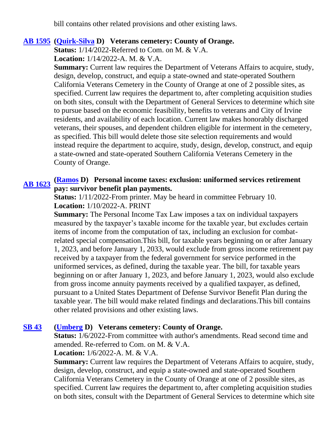bill contains other related provisions and other existing laws.

### **[AB 1595](https://ctweb.capitoltrack.com/public/publishbillinfo.aspx?bi=nC7JiCHsVklUHiZycioXEILz03UVeYxcFVoy3kxYwS1rMLzhrKZSVgY3NTug%2bcFc) [\(Quirk-Silva](https://a65.asmdc.org/) D) Veterans cemetery: County of Orange.**

**Status:** 1/14/2022-Referred to Com. on M. & V.A.

**Location:** 1/14/2022-A. M. & V.A.

**Summary:** Current law requires the Department of Veterans Affairs to acquire, study, design, develop, construct, and equip a state-owned and state-operated Southern California Veterans Cemetery in the County of Orange at one of 2 possible sites, as specified. Current law requires the department to, after completing acquisition studies on both sites, consult with the Department of General Services to determine which site to pursue based on the economic feasibility, benefits to veterans and City of Irvine residents, and availability of each location. Current law makes honorably discharged veterans, their spouses, and dependent children eligible for interment in the cemetery, as specified. This bill would delete those site selection requirements and would instead require the department to acquire, study, design, develop, construct, and equip a state-owned and state-operated Southern California Veterans Cemetery in the County of Orange.

# **[AB 1623](https://ctweb.capitoltrack.com/public/publishbillinfo.aspx?bi=VPmttKgHESoiZsMv2OG%2f8fx3W5QEX%2fBvOeRR3gpFcc8vNx3fJF5xBgmxjJ0eXULn) [\(Ramos](https://a40.asmdc.org/) D) Personal income taxes: exclusion: uniformed services retirement pay: survivor benefit plan payments.**

**Status:** 1/11/2022-From printer. May be heard in committee February 10. **Location:** 1/10/2022-A. PRINT

**Summary:** The Personal Income Tax Law imposes a tax on individual taxpayers measured by the taxpayer's taxable income for the taxable year, but excludes certain items of income from the computation of tax, including an exclusion for combatrelated special compensation.This bill, for taxable years beginning on or after January 1, 2023, and before January 1, 2033, would exclude from gross income retirement pay received by a taxpayer from the federal government for service performed in the uniformed services, as defined, during the taxable year. The bill, for taxable years beginning on or after January 1, 2023, and before January 1, 2023, would also exclude from gross income annuity payments received by a qualified taxpayer, as defined, pursuant to a United States Department of Defense Survivor Benefit Plan during the taxable year. The bill would make related findings and declarations.This bill contains other related provisions and other existing laws.

### **[SB 43](https://ctweb.capitoltrack.com/public/publishbillinfo.aspx?bi=SkA5QJYwBbrEwR9GF7Ynpl0ZhBzHILl5L0P4Wi5bdJbpqvGniNFO4GxuMjT4YP80) [\(Umberg](https://sd34.senate.ca.gov/) D) Veterans cemetery: County of Orange.**

**Status:**  $1/6/2022$ -From committee with author's amendments. Read second time and amended. Re-referred to Com. on M. & V.A.

**Location:** 1/6/2022-A. M. & V.A.

**Summary:** Current law requires the Department of Veterans Affairs to acquire, study, design, develop, construct, and equip a state-owned and state-operated Southern California Veterans Cemetery in the County of Orange at one of 2 possible sites, as specified. Current law requires the department to, after completing acquisition studies on both sites, consult with the Department of General Services to determine which site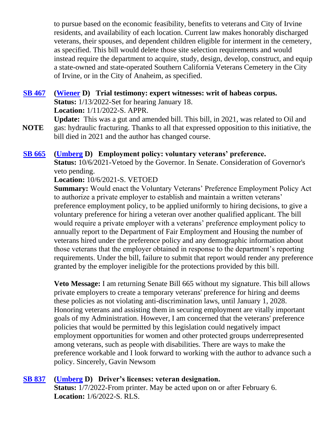to pursue based on the economic feasibility, benefits to veterans and City of Irvine residents, and availability of each location. Current law makes honorably discharged veterans, their spouses, and dependent children eligible for interment in the cemetery, as specified. This bill would delete those site selection requirements and would instead require the department to acquire, study, design, develop, construct, and equip a state-owned and state-operated Southern California Veterans Cemetery in the City of Irvine, or in the City of Anaheim, as specified.

### **[SB 467](https://ctweb.capitoltrack.com/public/publishbillinfo.aspx?bi=rVEoe0A8tP%2bz0yxg3QwWSfm0BDkUxjLRJCGXbFnRsSfT8B%2bfSDwSbuPhUQf88gkw) [\(Wiener](http://sd11.senate.ca.gov/) D) Trial testimony: expert witnesses: writ of habeas corpus. Status:** 1/13/2022-Set for hearing January 18. **Location:** 1/11/2022-S. APPR.

**NOTE Update:** This was a gut and amended bill. This bill, in 2021, was related to Oil and gas: hydraulic fracturing. Thanks to all that expressed opposition to this initiative, the bill died in 2021 and the author has changed course.

### **[SB 665](https://ctweb.capitoltrack.com/public/publishbillinfo.aspx?bi=28DcpfUY6it45PMMc2UTP7uhTzvA00KDvLXWxjEIIpvdEAg8E1t2hjSiTXrk8eDA) [\(Umberg](https://sd34.senate.ca.gov/) D) Employment policy: voluntary veterans' preference.**

**Status:** 10/6/2021-Vetoed by the Governor. In Senate. Consideration of Governor's veto pending.

### **Location:** 10/6/2021-S. VETOED

**Summary:** Would enact the Voluntary Veterans' Preference Employment Policy Act to authorize a private employer to establish and maintain a written veterans' preference employment policy, to be applied uniformly to hiring decisions, to give a voluntary preference for hiring a veteran over another qualified applicant. The bill would require a private employer with a veterans' preference employment policy to annually report to the Department of Fair Employment and Housing the number of veterans hired under the preference policy and any demographic information about those veterans that the employer obtained in response to the department's reporting requirements. Under the bill, failure to submit that report would render any preference granted by the employer ineligible for the protections provided by this bill.

**Veto Message:** I am returning Senate Bill 665 without my signature. This bill allows private employers to create a temporary veterans' preference for hiring and deems these policies as not violating anti-discrimination laws, until January 1, 2028. Honoring veterans and assisting them in securing employment are vitally important goals of my Administration. However, I am concerned that the veterans' preference policies that would be permitted by this legislation could negatively impact employment opportunities for women and other protected groups underrepresented among veterans, such as people with disabilities. There are ways to make the preference workable and I look forward to working with the author to advance such a policy. Sincerely, Gavin Newsom

### **[SB 837](https://ctweb.capitoltrack.com/public/publishbillinfo.aspx?bi=hPJTzlEC1KQ0iDY7V4aBO2JyJkA8XafVEXeCBsj%2bXuj1ruem2BE%2bahN8NhG6qaxC) [\(Umberg](https://sd34.senate.ca.gov/) D) Driver's licenses: veteran designation.**

**Status:** 1/7/2022-From printer. May be acted upon on or after February 6. **Location:** 1/6/2022-S. RLS.